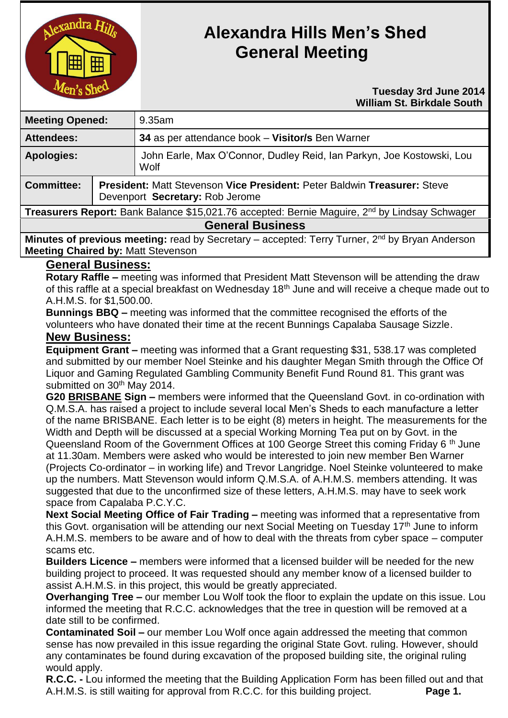

# **Alexandra Hills Men's Shed General Meeting**

#### **Tuesday 3rd June 2014 William St. Birkdale South**

| <b>Meeting Opened:</b>                                                                                    |                                                                                                                    | 9.35am                                                                        |
|-----------------------------------------------------------------------------------------------------------|--------------------------------------------------------------------------------------------------------------------|-------------------------------------------------------------------------------|
| <b>Attendees:</b>                                                                                         |                                                                                                                    | 34 as per attendance book - Visitor/s Ben Warner                              |
| <b>Apologies:</b>                                                                                         |                                                                                                                    | John Earle, Max O'Connor, Dudley Reid, Ian Parkyn, Joe Kostowski, Lou<br>Wolf |
| <b>Committee:</b>                                                                                         | <b>President: Matt Stevenson Vice President: Peter Baldwin Treasurer: Steve</b><br>Devenport Secretary: Rob Jerome |                                                                               |
| Treasurers Report: Bank Balance \$15,021.76 accepted: Bernie Maguire, 2 <sup>nd</sup> by Lindsay Schwager |                                                                                                                    |                                                                               |
| <b>General Business</b>                                                                                   |                                                                                                                    |                                                                               |
|                                                                                                           |                                                                                                                    |                                                                               |

**Minutes of previous meeting:** read by Secretary – accepted: Terry Turner, 2<sup>nd</sup> by Bryan Anderson **Meeting Chaired by:** Matt Stevenson

## **General Business:**

**Rotary Raffle –** meeting was informed that President Matt Stevenson will be attending the draw of this raffle at a special breakfast on Wednesday 18<sup>th</sup> June and will receive a cheque made out to A.H.M.S. for \$1,500.00.

**Bunnings BBQ –** meeting was informed that the committee recognised the efforts of the volunteers who have donated their time at the recent Bunnings Capalaba Sausage Sizzle.

## **New Business:**

**Equipment Grant –** meeting was informed that a Grant requesting \$31, 538.17 was completed and submitted by our member Noel Steinke and his daughter Megan Smith through the Office Of Liquor and Gaming Regulated Gambling Community Benefit Fund Round 81. This grant was submitted on 30<sup>th</sup> May 2014.

**G20 BRISBANE Sign –** members were informed that the Queensland Govt. in co-ordination with Q.M.S.A. has raised a project to include several local Men's Sheds to each manufacture a letter of the name BRISBANE. Each letter is to be eight (8) meters in height. The measurements for the Width and Depth will be discussed at a special Working Morning Tea put on by Govt. in the Queensland Room of the Government Offices at 100 George Street this coming Friday 6<sup>th</sup> June at 11.30am. Members were asked who would be interested to join new member Ben Warner (Projects Co-ordinator – in working life) and Trevor Langridge. Noel Steinke volunteered to make up the numbers. Matt Stevenson would inform Q.M.S.A. of A.H.M.S. members attending. It was suggested that due to the unconfirmed size of these letters, A.H.M.S. may have to seek work space from Capalaba P.C.Y.C.

**Next Social Meeting Office of Fair Trading –** meeting was informed that a representative from this Govt. organisation will be attending our next Social Meeting on Tuesday  $17<sup>th</sup>$  June to inform A.H.M.S. members to be aware and of how to deal with the threats from cyber space – computer scams etc.

**Builders Licence –** members were informed that a licensed builder will be needed for the new building project to proceed. It was requested should any member know of a licensed builder to assist A.H.M.S. in this project, this would be greatly appreciated.

**Overhanging Tree –** our member Lou Wolf took the floor to explain the update on this issue. Lou informed the meeting that R.C.C. acknowledges that the tree in question will be removed at a date still to be confirmed.

**Contaminated Soil –** our member Lou Wolf once again addressed the meeting that common sense has now prevailed in this issue regarding the original State Govt. ruling. However, should any contaminates be found during excavation of the proposed building site, the original ruling would apply.

**R.C.C. -** Lou informed the meeting that the Building Application Form has been filled out and that A.H.M.S. is still waiting for approval from R.C.C. for this building project. **Page 1.**